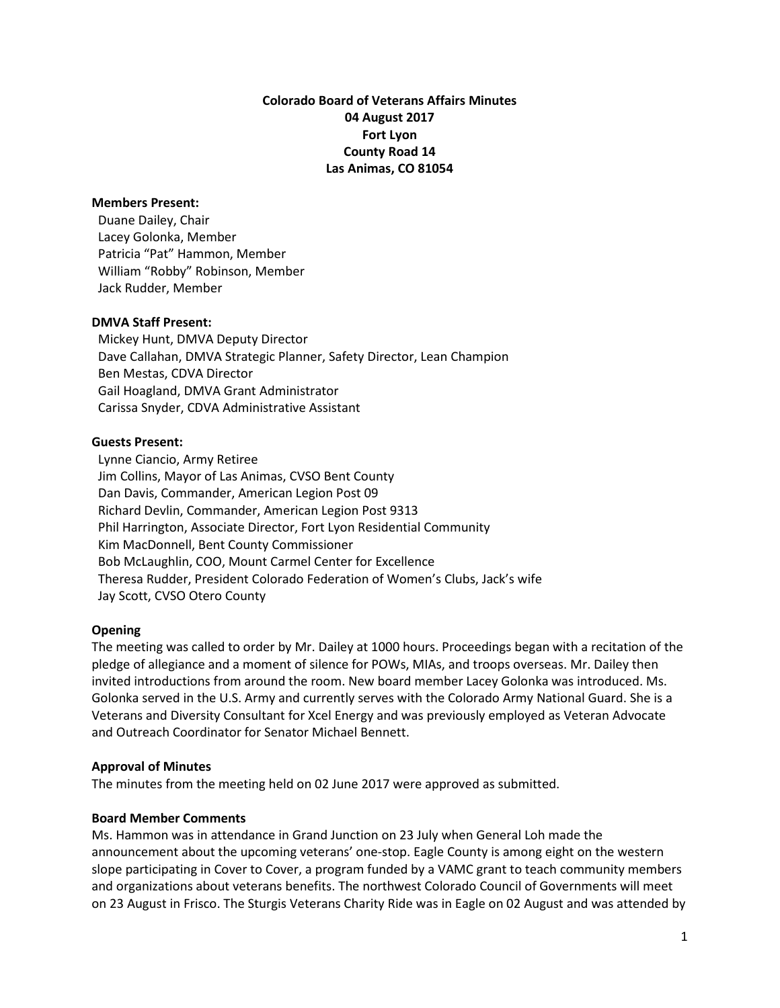**Colorado Board of Veterans Affairs Minutes 04 August 2017 Fort Lyon County Road 14 Las Animas, CO 81054**

#### **Members Present:**

Duane Dailey, Chair Lacey Golonka, Member Patricia "Pat" Hammon, Member William "Robby" Robinson, Member Jack Rudder, Member

#### **DMVA Staff Present:**

 Mickey Hunt, DMVA Deputy Director Dave Callahan, DMVA Strategic Planner, Safety Director, Lean Champion Ben Mestas, CDVA Director Gail Hoagland, DMVA Grant Administrator Carissa Snyder, CDVA Administrative Assistant

#### **Guests Present:**

 Lynne Ciancio, Army Retiree Jim Collins, Mayor of Las Animas, CVSO Bent County Dan Davis, Commander, American Legion Post 09 Richard Devlin, Commander, American Legion Post 9313 Phil Harrington, Associate Director, Fort Lyon Residential Community Kim MacDonnell, Bent County Commissioner Bob McLaughlin, COO, Mount Carmel Center for Excellence Theresa Rudder, President Colorado Federation of Women's Clubs, Jack's wife Jay Scott, CVSO Otero County

# **Opening**

The meeting was called to order by Mr. Dailey at 1000 hours. Proceedings began with a recitation of the pledge of allegiance and a moment of silence for POWs, MIAs, and troops overseas. Mr. Dailey then invited introductions from around the room. New board member Lacey Golonka was introduced. Ms. Golonka served in the U.S. Army and currently serves with the Colorado Army National Guard. She is a Veterans and Diversity Consultant for Xcel Energy and was previously employed as Veteran Advocate and Outreach Coordinator for Senator Michael Bennett.

# **Approval of Minutes**

The minutes from the meeting held on 02 June 2017 were approved as submitted.

# **Board Member Comments**

Ms. Hammon was in attendance in Grand Junction on 23 July when General Loh made the announcement about the upcoming veterans' one-stop. Eagle County is among eight on the western slope participating in Cover to Cover, a program funded by a VAMC grant to teach community members and organizations about veterans benefits. The northwest Colorado Council of Governments will meet on 23 August in Frisco. The Sturgis Veterans Charity Ride was in Eagle on 02 August and was attended by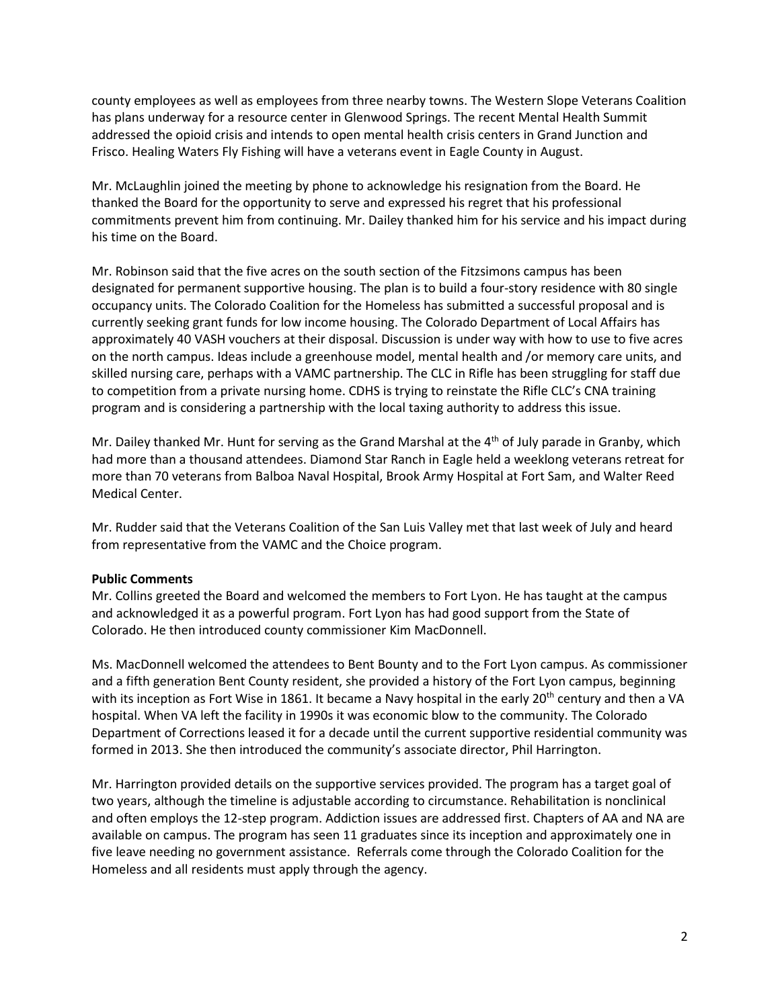county employees as well as employees from three nearby towns. The Western Slope Veterans Coalition has plans underway for a resource center in Glenwood Springs. The recent Mental Health Summit addressed the opioid crisis and intends to open mental health crisis centers in Grand Junction and Frisco. Healing Waters Fly Fishing will have a veterans event in Eagle County in August.

Mr. McLaughlin joined the meeting by phone to acknowledge his resignation from the Board. He thanked the Board for the opportunity to serve and expressed his regret that his professional commitments prevent him from continuing. Mr. Dailey thanked him for his service and his impact during his time on the Board.

Mr. Robinson said that the five acres on the south section of the Fitzsimons campus has been designated for permanent supportive housing. The plan is to build a four-story residence with 80 single occupancy units. The Colorado Coalition for the Homeless has submitted a successful proposal and is currently seeking grant funds for low income housing. The Colorado Department of Local Affairs has approximately 40 VASH vouchers at their disposal. Discussion is under way with how to use to five acres on the north campus. Ideas include a greenhouse model, mental health and /or memory care units, and skilled nursing care, perhaps with a VAMC partnership. The CLC in Rifle has been struggling for staff due to competition from a private nursing home. CDHS is trying to reinstate the Rifle CLC's CNA training program and is considering a partnership with the local taxing authority to address this issue.

Mr. Dailey thanked Mr. Hunt for serving as the Grand Marshal at the  $4<sup>th</sup>$  of July parade in Granby, which had more than a thousand attendees. Diamond Star Ranch in Eagle held a weeklong veterans retreat for more than 70 veterans from Balboa Naval Hospital, Brook Army Hospital at Fort Sam, and Walter Reed Medical Center.

Mr. Rudder said that the Veterans Coalition of the San Luis Valley met that last week of July and heard from representative from the VAMC and the Choice program.

# **Public Comments**

Mr. Collins greeted the Board and welcomed the members to Fort Lyon. He has taught at the campus and acknowledged it as a powerful program. Fort Lyon has had good support from the State of Colorado. He then introduced county commissioner Kim MacDonnell.

Ms. MacDonnell welcomed the attendees to Bent Bounty and to the Fort Lyon campus. As commissioner and a fifth generation Bent County resident, she provided a history of the Fort Lyon campus, beginning with its inception as Fort Wise in 1861. It became a Navy hospital in the early 20<sup>th</sup> century and then a VA hospital. When VA left the facility in 1990s it was economic blow to the community. The Colorado Department of Corrections leased it for a decade until the current supportive residential community was formed in 2013. She then introduced the community's associate director, Phil Harrington.

Mr. Harrington provided details on the supportive services provided. The program has a target goal of two years, although the timeline is adjustable according to circumstance. Rehabilitation is nonclinical and often employs the 12-step program. Addiction issues are addressed first. Chapters of AA and NA are available on campus. The program has seen 11 graduates since its inception and approximately one in five leave needing no government assistance. Referrals come through the Colorado Coalition for the Homeless and all residents must apply through the agency.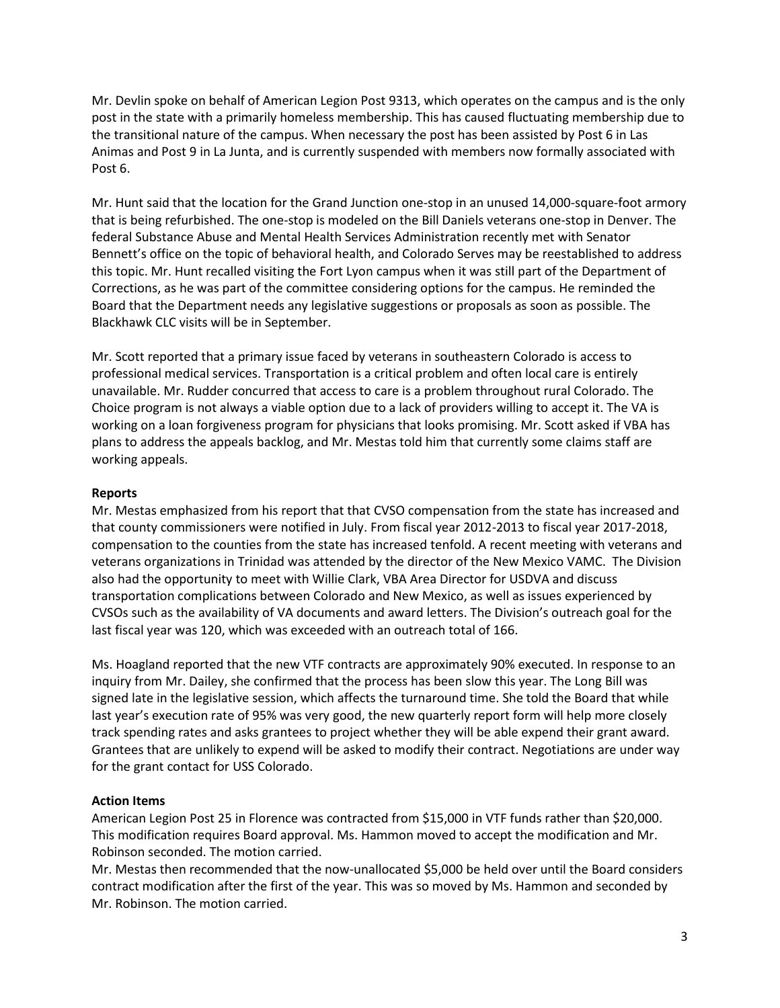Mr. Devlin spoke on behalf of American Legion Post 9313, which operates on the campus and is the only post in the state with a primarily homeless membership. This has caused fluctuating membership due to the transitional nature of the campus. When necessary the post has been assisted by Post 6 in Las Animas and Post 9 in La Junta, and is currently suspended with members now formally associated with Post 6.

Mr. Hunt said that the location for the Grand Junction one-stop in an unused 14,000-square-foot armory that is being refurbished. The one-stop is modeled on the Bill Daniels veterans one-stop in Denver. The federal [Substance Abuse and Mental Health Services Administration](https://www.samhsa.gov/) recently met with Senator Bennett's office on the topic of behavioral health, and Colorado Serves may be reestablished to address this topic. Mr. Hunt recalled visiting the Fort Lyon campus when it was still part of the Department of Corrections, as he was part of the committee considering options for the campus. He reminded the Board that the Department needs any legislative suggestions or proposals as soon as possible. The Blackhawk CLC visits will be in September.

Mr. Scott reported that a primary issue faced by veterans in southeastern Colorado is access to professional medical services. Transportation is a critical problem and often local care is entirely unavailable. Mr. Rudder concurred that access to care is a problem throughout rural Colorado. The Choice program is not always a viable option due to a lack of providers willing to accept it. The VA is working on a loan forgiveness program for physicians that looks promising. Mr. Scott asked if VBA has plans to address the appeals backlog, and Mr. Mestas told him that currently some claims staff are working appeals.

# **Reports**

Mr. Mestas emphasized from his report that that CVSO compensation from the state has increased and that county commissioners were notified in July. From fiscal year 2012-2013 to fiscal year 2017-2018, compensation to the counties from the state has increased tenfold. A recent meeting with veterans and veterans organizations in Trinidad was attended by the director of the New Mexico VAMC. The Division also had the opportunity to meet with Willie Clark, VBA Area Director for USDVA and discuss transportation complications between Colorado and New Mexico, as well as issues experienced by CVSOs such as the availability of VA documents and award letters. The Division's outreach goal for the last fiscal year was 120, which was exceeded with an outreach total of 166.

Ms. Hoagland reported that the new VTF contracts are approximately 90% executed. In response to an inquiry from Mr. Dailey, she confirmed that the process has been slow this year. The Long Bill was signed late in the legislative session, which affects the turnaround time. She told the Board that while last year's execution rate of 95% was very good, the new quarterly report form will help more closely track spending rates and asks grantees to project whether they will be able expend their grant award. Grantees that are unlikely to expend will be asked to modify their contract. Negotiations are under way for the grant contact for USS Colorado.

# **Action Items**

American Legion Post 25 in Florence was contracted from \$15,000 in VTF funds rather than \$20,000. This modification requires Board approval. Ms. Hammon moved to accept the modification and Mr. Robinson seconded. The motion carried.

Mr. Mestas then recommended that the now-unallocated \$5,000 be held over until the Board considers contract modification after the first of the year. This was so moved by Ms. Hammon and seconded by Mr. Robinson. The motion carried.